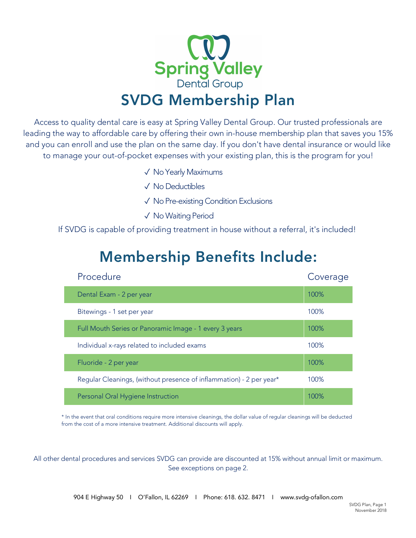

Access to quality dental care is easy at Spring Valley Dental Group. Our trusted professionals are leading the way to affordable care by offering their own in-house membership plan that saves you 15% and you can enroll and use the plan on the same day. If you don't have dental insurance or would like to manage your out-of-pocket expenses with your existing plan, this is the program for you!

- ✓ No Yearly Maximums
- ✓ No Deductibles
- ✓ No Pre-existing Condition Exclusions
- ✓ No Waiting Period

If SVDG is capable of providing treatment in house without a referral, it's included!

| Procedure                                                           | Coverage |
|---------------------------------------------------------------------|----------|
| Dental Exam - 2 per year                                            | 100%     |
| Bitewings - 1 set per year                                          | 100%     |
| Full Mouth Series or Panoramic Image - 1 every 3 years              | 100%     |
| Individual x-rays related to included exams                         | 100%     |
| Fluoride - 2 per year                                               | 100%     |
| Regular Cleanings, (without presence of inflammation) - 2 per year* | 100%     |
| Personal Oral Hygiene Instruction                                   | 100%     |

## Membership Benefits Include:

\* In the event that oral conditions require more intensive cleanings, the dollar value of regular cleanings will be deducted from the cost of a more intensive treatment. Additional discounts will apply.

All other dental procedures and services SVDG can provide are discounted at 15% without annual limit or maximum. See exceptions on page 2.